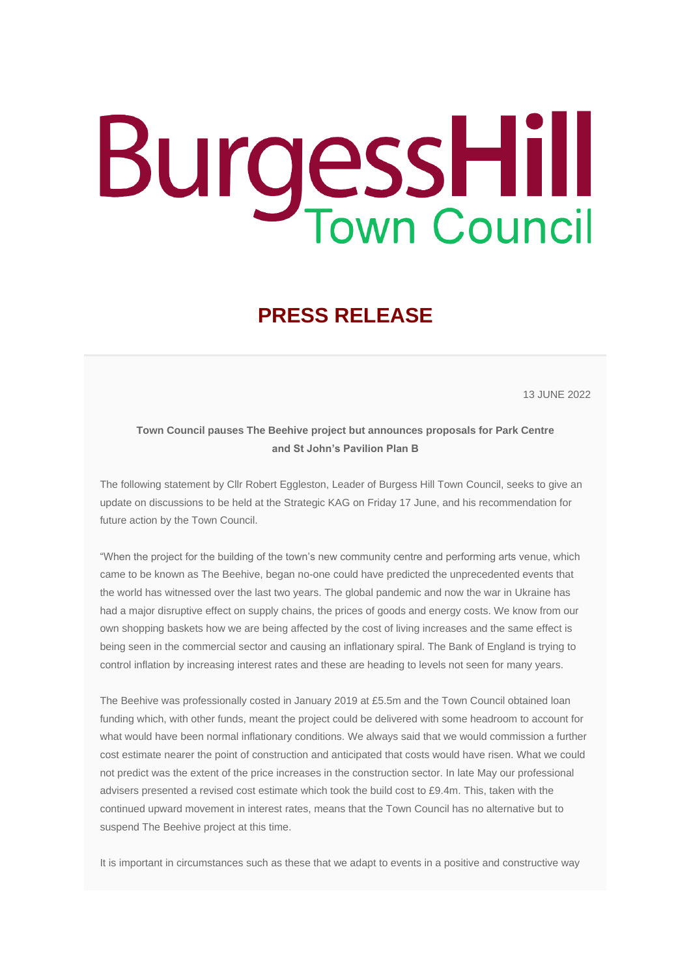## **BurgessHill**

## **PRESS RELEASE**

13 JUNE 2022

## **Town Council pauses The Beehive project but announces proposals for Park Centre and St John's Pavilion Plan B**

The following statement by Cllr Robert Eggleston, Leader of Burgess Hill Town Council, seeks to give an update on discussions to be held at the Strategic KAG on Friday 17 June, and his recommendation for future action by the Town Council.

"When the project for the building of the town's new community centre and performing arts venue, which came to be known as The Beehive, began no-one could have predicted the unprecedented events that the world has witnessed over the last two years. The global pandemic and now the war in Ukraine has had a major disruptive effect on supply chains, the prices of goods and energy costs. We know from our own shopping baskets how we are being affected by the cost of living increases and the same effect is being seen in the commercial sector and causing an inflationary spiral. The Bank of England is trying to control inflation by increasing interest rates and these are heading to levels not seen for many years.

The Beehive was professionally costed in January 2019 at £5.5m and the Town Council obtained loan funding which, with other funds, meant the project could be delivered with some headroom to account for what would have been normal inflationary conditions. We always said that we would commission a further cost estimate nearer the point of construction and anticipated that costs would have risen. What we could not predict was the extent of the price increases in the construction sector. In late May our professional advisers presented a revised cost estimate which took the build cost to £9.4m. This, taken with the continued upward movement in interest rates, means that the Town Council has no alternative but to suspend The Beehive project at this time.

It is important in circumstances such as these that we adapt to events in a positive and constructive way